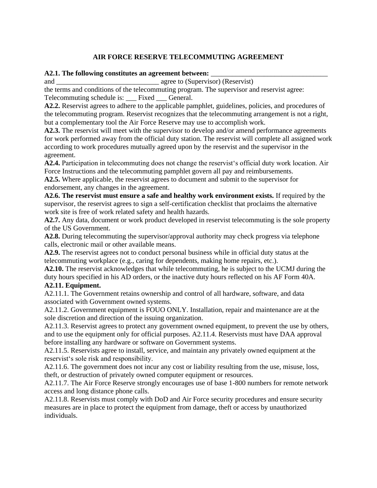## **AIR FORCE RESERVE TELECOMMUTING AGREEMENT**

## **A2.1. The following constitutes an agreement between:** \_\_\_\_\_\_\_\_\_\_\_\_\_\_\_\_\_\_\_\_\_\_\_\_\_\_\_\_\_\_\_\_\_

and \_\_\_\_\_\_\_\_\_\_\_\_\_\_\_\_\_\_\_\_\_\_\_\_\_\_\_\_\_ agree to (Supervisor) (Reservist)

the terms and conditions of the telecommuting program. The supervisor and reservist agree: Telecommuting schedule is: \_\_\_ Fixed \_\_\_ General.

**A2.2.** Reservist agrees to adhere to the applicable pamphlet, guidelines, policies, and procedures of the telecommuting program. Reservist recognizes that the telecommuting arrangement is not a right, but a complementary tool the Air Force Reserve may use to accomplish work.

**A2.3.** The reservist will meet with the supervisor to develop and/or amend performance agreements for work performed away from the official duty station. The reservist will complete all assigned work according to work procedures mutually agreed upon by the reservist and the supervisor in the agreement.

**A2.4.** Participation in telecommuting does not change the reservist's official duty work location. Air Force Instructions and the telecommuting pamphlet govern all pay and reimbursements.

**A2.5.** Where applicable, the reservist agrees to document and submit to the supervisor for endorsement, any changes in the agreement.

**A2.6. The reservist must ensure a safe and healthy work environment exists.** If required by the supervisor, the reservist agrees to sign a self-certification checklist that proclaims the alternative work site is free of work related safety and health hazards.

**A2.7.** Any data, document or work product developed in reservist telecommuting is the sole property of the US Government.

**A2.8.** During telecommuting the supervisor/approval authority may check progress via telephone calls, electronic mail or other available means.

**A2.9.** The reservist agrees not to conduct personal business while in official duty status at the telecommuting workplace (e.g., caring for dependents, making home repairs, etc.).

**A2.10.** The reservist acknowledges that while telecommuting, he is subject to the UCMJ during the duty hours specified in his AD orders, or the inactive duty hours reflected on his AF Form 40A. **A2.11. Equipment.** 

A2.11.1. The Government retains ownership and control of all hardware, software, and data associated with Government owned systems.

A2.11.2. Government equipment is FOUO ONLY. Installation, repair and maintenance are at the sole discretion and direction of the issuing organization.

A2.11.3. Reservist agrees to protect any government owned equipment, to prevent the use by others, and to use the equipment only for official purposes. A2.11.4. Reservists must have DAA approval before installing any hardware or software on Government systems.

A2.11.5. Reservists agree to install, service, and maintain any privately owned equipment at the reservist's sole risk and responsibility.

A2.11.6. The government does not incur any cost or liability resulting from the use, misuse, loss, theft, or destruction of privately owned computer equipment or resources.

A2.11.7. The Air Force Reserve strongly encourages use of base 1-800 numbers for remote network access and long distance phone calls.

A2.11.8. Reservists must comply with DoD and Air Force security procedures and ensure security measures are in place to protect the equipment from damage, theft or access by unauthorized individuals.